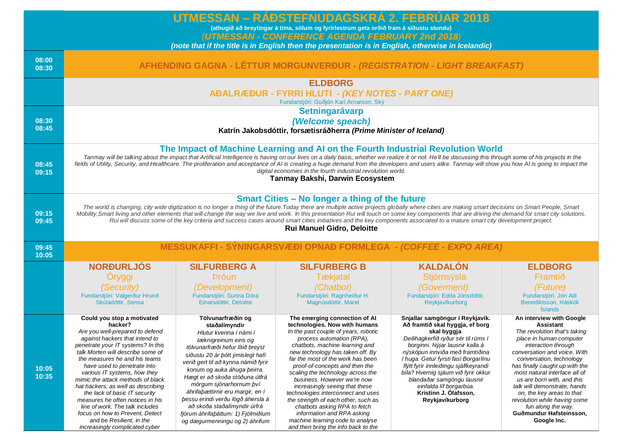|                |                                                                                                                                                                                                                                                                                                                                                                                                                                                                                                                                                                                                                                                                                        |                                                                                                                                                                                                                                                                                                                                                                                                                                                                                  | UTMESSAN – RÁÐSTEFNUDAGSKRÁ 2. FEBRÚAR 2018<br>(athugið að breytingar á tíma, sölum og fyrirlestrum geta orðið fram á síðustu stundu)                                                                                                                                                                                                                                                                                                                                                                                                                                                                        |                                                                                                                                                                                                                                                                                                                                                                                                                             |                                                                                                                                                                                                                                                                                                                                                                                                                                                   |
|----------------|----------------------------------------------------------------------------------------------------------------------------------------------------------------------------------------------------------------------------------------------------------------------------------------------------------------------------------------------------------------------------------------------------------------------------------------------------------------------------------------------------------------------------------------------------------------------------------------------------------------------------------------------------------------------------------------|----------------------------------------------------------------------------------------------------------------------------------------------------------------------------------------------------------------------------------------------------------------------------------------------------------------------------------------------------------------------------------------------------------------------------------------------------------------------------------|--------------------------------------------------------------------------------------------------------------------------------------------------------------------------------------------------------------------------------------------------------------------------------------------------------------------------------------------------------------------------------------------------------------------------------------------------------------------------------------------------------------------------------------------------------------------------------------------------------------|-----------------------------------------------------------------------------------------------------------------------------------------------------------------------------------------------------------------------------------------------------------------------------------------------------------------------------------------------------------------------------------------------------------------------------|---------------------------------------------------------------------------------------------------------------------------------------------------------------------------------------------------------------------------------------------------------------------------------------------------------------------------------------------------------------------------------------------------------------------------------------------------|
|                | (UTMESSAN - CONFERENCE AGENDA FEBRUARY 2nd 2018)                                                                                                                                                                                                                                                                                                                                                                                                                                                                                                                                                                                                                                       |                                                                                                                                                                                                                                                                                                                                                                                                                                                                                  |                                                                                                                                                                                                                                                                                                                                                                                                                                                                                                                                                                                                              |                                                                                                                                                                                                                                                                                                                                                                                                                             |                                                                                                                                                                                                                                                                                                                                                                                                                                                   |
|                | (note that if the title is in English then the presentation is in English, otherwise in Icelandic)                                                                                                                                                                                                                                                                                                                                                                                                                                                                                                                                                                                     |                                                                                                                                                                                                                                                                                                                                                                                                                                                                                  |                                                                                                                                                                                                                                                                                                                                                                                                                                                                                                                                                                                                              |                                                                                                                                                                                                                                                                                                                                                                                                                             |                                                                                                                                                                                                                                                                                                                                                                                                                                                   |
| 08:00<br>08:30 |                                                                                                                                                                                                                                                                                                                                                                                                                                                                                                                                                                                                                                                                                        | AFHENDING GAGNA - LÉTTUR MORGUNVERÐUR - (REGISTRATION - LIGHT BREAKFAST)                                                                                                                                                                                                                                                                                                                                                                                                         |                                                                                                                                                                                                                                                                                                                                                                                                                                                                                                                                                                                                              |                                                                                                                                                                                                                                                                                                                                                                                                                             |                                                                                                                                                                                                                                                                                                                                                                                                                                                   |
|                |                                                                                                                                                                                                                                                                                                                                                                                                                                                                                                                                                                                                                                                                                        |                                                                                                                                                                                                                                                                                                                                                                                                                                                                                  | <b>ELDBORG</b><br><b>AĐALRÆÐUR - FYRRI HLUTI - (KEY NOTES - PART ONE)</b><br>Fundarstjóri: Guðjón Karl Arnarson, Ský                                                                                                                                                                                                                                                                                                                                                                                                                                                                                         |                                                                                                                                                                                                                                                                                                                                                                                                                             |                                                                                                                                                                                                                                                                                                                                                                                                                                                   |
| 08:30<br>08:45 | Setningarávarp<br>(Welcome speach)<br>Katrín Jakobsdóttir, forsætisráðherra (Prime Minister of Iceland)                                                                                                                                                                                                                                                                                                                                                                                                                                                                                                                                                                                |                                                                                                                                                                                                                                                                                                                                                                                                                                                                                  |                                                                                                                                                                                                                                                                                                                                                                                                                                                                                                                                                                                                              |                                                                                                                                                                                                                                                                                                                                                                                                                             |                                                                                                                                                                                                                                                                                                                                                                                                                                                   |
| 08:45<br>09:15 | The Impact of Machine Learning and AI on the Fourth Industrial Revolution World<br>Tanmay will be talking about the impact that Artificial Intelligence is having on our lives on a daily basis, whether we realize it or not. He'll be discussing this through some of his projects in the<br>fields of Utility, Security, and Healthcare. The proliferation and acceptance of AI is creating a huge demand from the developers and users alike. Tanmay will show you how AI is going to impact the<br>digital economies in the fourth industrial revolution world.<br>Tanmay Bakshi, Darwin Ecosystem                                                                                |                                                                                                                                                                                                                                                                                                                                                                                                                                                                                  |                                                                                                                                                                                                                                                                                                                                                                                                                                                                                                                                                                                                              |                                                                                                                                                                                                                                                                                                                                                                                                                             |                                                                                                                                                                                                                                                                                                                                                                                                                                                   |
| 09:15<br>09:45 | <b>Smart Cities - No longer a thing of the future</b><br>The world is changing, city wide digitization is no longer a thing of the future. Today there are multiple active projects globally where cities are making smart decisions on Smart People, Smart<br>Mobility, Smart living and other elements that will change the way we live and work. In this presentation Rui will touch on some key components that are driving the demand for smart city solutions.<br>Rui will discuss some of the key criteria and success cases around smart cities initiatives and the key components associated to a mature smart city development project.<br><b>Rui Manuel Gidro, Deloitte</b> |                                                                                                                                                                                                                                                                                                                                                                                                                                                                                  |                                                                                                                                                                                                                                                                                                                                                                                                                                                                                                                                                                                                              |                                                                                                                                                                                                                                                                                                                                                                                                                             |                                                                                                                                                                                                                                                                                                                                                                                                                                                   |
| 09:45<br>10:05 | MESSUKAFFI - SÝNINGARSVÆÐI OPNAÐ FORMLEGA - (COFFEE - EXPO AREA)                                                                                                                                                                                                                                                                                                                                                                                                                                                                                                                                                                                                                       |                                                                                                                                                                                                                                                                                                                                                                                                                                                                                  |                                                                                                                                                                                                                                                                                                                                                                                                                                                                                                                                                                                                              |                                                                                                                                                                                                                                                                                                                                                                                                                             |                                                                                                                                                                                                                                                                                                                                                                                                                                                   |
|                | <b>NORÐURLJÓS</b>                                                                                                                                                                                                                                                                                                                                                                                                                                                                                                                                                                                                                                                                      | <b>SILFURBERG A</b>                                                                                                                                                                                                                                                                                                                                                                                                                                                              | <b>SILFURBERG B</b>                                                                                                                                                                                                                                                                                                                                                                                                                                                                                                                                                                                          | <b>KALDALÓN</b>                                                                                                                                                                                                                                                                                                                                                                                                             | <b>ELDBORG</b>                                                                                                                                                                                                                                                                                                                                                                                                                                    |
|                | Öryggi                                                                                                                                                                                                                                                                                                                                                                                                                                                                                                                                                                                                                                                                                 | <b>Þróun</b>                                                                                                                                                                                                                                                                                                                                                                                                                                                                     | <b>T</b> ækjatal                                                                                                                                                                                                                                                                                                                                                                                                                                                                                                                                                                                             | Stjórnsýsla                                                                                                                                                                                                                                                                                                                                                                                                                 | Framtíð                                                                                                                                                                                                                                                                                                                                                                                                                                           |
|                | <i>(Security)</i><br>Fundarstjóri: Valgerður Hrund<br>Skúladóttir, Sensa                                                                                                                                                                                                                                                                                                                                                                                                                                                                                                                                                                                                               | (Development)<br>Fundarstjóri: Sunna Dóra<br>Einarsdóttir, Deloitte                                                                                                                                                                                                                                                                                                                                                                                                              | (Chatbot)<br>Fundarstjóri: Ragnheiður H.<br>Magnúsdóttir, Marel                                                                                                                                                                                                                                                                                                                                                                                                                                                                                                                                              | (Goverment)<br>Fundarstjóri: Edda Jónsdóttir,<br>Reykjavíkurborg                                                                                                                                                                                                                                                                                                                                                            | (Future)<br>Fundarstjóri: Jón Atli<br>Benediktsson, Háskóli<br><i><u><b>Slands</b></u></i>                                                                                                                                                                                                                                                                                                                                                        |
| 10:05<br>10:35 | Could you stop a motivated<br>hacker?<br>Are you well-prepared to defend<br>against hackers that intend to<br>penetrate your IT systems? In this<br>talk Morten will describe some of<br>the measures he and his teams<br>have used to penetrate into<br>various IT systems, how they<br>mimic the attack methods of black<br>hat hackers, as well as describing<br>the lack of basic IT security<br>measures he often notices in his<br>line of work. The talk includes<br>focus on how to Prevent, Detect<br>and be Resilient, in the<br>increasingly complicated cyber                                                                                                              | Tölvunarfræðin og<br>staðalímyndir<br>Hlutur kvenna í námi í<br>tæknigreinum eins og<br>tölvunarfræði hefur lítið breyst<br>síðustu 20 ár þótt ýmislegt hafi<br>verið gert til að kynna námið fyrir<br>konum og auka áhuga þeirra.<br>Hægt er að skoða stöðuna útfrá<br>mörgum sjónarhornum því<br>áhrifaþættirnir eru margir, en í<br>þessu erindi verðu lögð áhersla á<br>að skoða staðalímyndir úrfrá<br>fjórum áhrifaþáttum: 1) Fjölmiðlum<br>og dægurmenningu og 2) áhrifum | The emerging connection of Al<br>technologies. Now with humans<br>In the past couple of years, robotic<br>process automation (RPA),<br>chatbots, machine learning and<br>new technology has taken off. By<br>far the most of the work has been<br>proof-of-concepts and then the<br>scaling the technology across the<br>business. However we're now<br>increasingly seeing that these<br>technologies interconnect and uses<br>the strength of each other, such as<br>chatbots asking RPA to fetch<br>information and RPA asking<br>machine learning code to analyse<br>and then bring the info back to the | Snjallar samgöngur í Reykjavík.<br>Að framtíð skal hyggja, ef borg<br>skal byggja<br>Deilihagkerfið ryður sér til rúms í<br>borginni. Nýjar lausnir kalla á<br>nýsköpun innviða með framtíðina<br>í huga. Getur fyrsti fasi Borgarlínu<br>flýtt fyrir innleiðingu sjálfkeyrandi<br>bíla? Hvernig sjáum við fyrir okkur<br>blandaðar samgöngu lausnir<br>einfalda líf borgarbúa.<br>Kristinn J. Ólafsson,<br>Reykjavíkurborg | An interview with Google<br>Assistant<br>The revolution that's taking<br>place in human computer<br>interaction through<br>conversation and voice. With<br>conversation, technology<br>has finally caught up with the<br>most natural interface all of<br>us are born with, and this<br>talk will demonstrate, hands<br>on, the key areas to that<br>revolution while having some<br>fun along the way.<br>Guðmundur Hafsteinsson,<br>Google Inc. |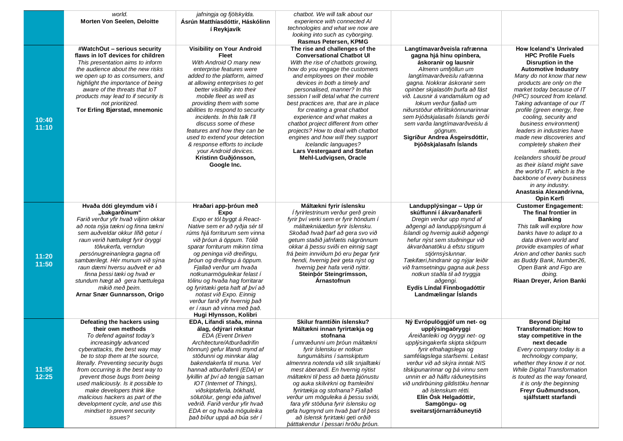|       | world.                                                            | jafningja og fjölskylda.                   | chatbot. We will talk about our                                    |                                                         |                                                            |
|-------|-------------------------------------------------------------------|--------------------------------------------|--------------------------------------------------------------------|---------------------------------------------------------|------------------------------------------------------------|
|       | <b>Morten Von Seelen, Deloitte</b>                                | Ásrún Matthíasdóttir, Háskólinn            | experience with connected AI                                       |                                                         |                                                            |
|       |                                                                   | í Reykjavík                                | technologies and what we now are                                   |                                                         |                                                            |
|       |                                                                   |                                            | looking into such as cyborging.                                    |                                                         |                                                            |
|       |                                                                   |                                            | Rasmus Petersen, KPMG                                              |                                                         |                                                            |
|       | #WatchOut - serious security<br>flaws in IoT devices for children | Visibility on Your Android<br><b>Fleet</b> | The rise and challenges of the<br><b>Conversational Chatbot UI</b> | Langtímavarðveisla rafrænna<br>gagna hjá hinu opinbera, | <b>How Iceland's Unrivaled</b><br><b>HPC Profile Fuels</b> |
|       | This presentation aims to inform                                  | With Android O many new                    | With the rise of chatbots growing,                                 | áskoranir og lausnir                                    | Disruption in the                                          |
|       | the audience about the new risks                                  | enterprise features were                   | how do you engage the customers                                    | Almenn umfjöllun um                                     | <b>Automotive Industry</b>                                 |
|       | we open up to as consumers, and                                   | added to the platform, aimed               | and employees on their mobile                                      | langtímavarðveislu rafrænna                             | Many do not know that new                                  |
|       | highlight the importance of being                                 | at allowing enterprises to get             | devices in both a timely and                                       | gagna. Nokkrar áskoranir sem                            | products are only on the                                   |
|       | aware of the threats that IoT                                     | better visibility into their               | personalised, manner? In this                                      | opinber skjalasöfn þurfa að fást                        | market today because of IT                                 |
|       | products may lead to if security is                               | mobile fleet as well as                    | session I will detal what the current                              | við. Lausnir á vandamálum og að                         | (HPC) sourced from Iceland.                                |
|       | not prioritized.                                                  | providing them with some                   | best practices are, that are in place                              | lokum verður fjallað um                                 | Taking advantage of our IT                                 |
|       | Tor Erling Bjørstad, mnemonic                                     | abilities to respond to security           | for creating a great chatbot                                       | niðurstöður eftirlitskönnunarinnar                      | profile (green energy, free                                |
|       |                                                                   | incidents. In this talk I'll               | experience and what makes a                                        | sem Þjóðskjalasafn Islands gerði                        | cooling, security and                                      |
| 10:40 |                                                                   | discuss some of these                      | chatbot project different from other                               | sem varða langtímavarðveislu á                          | business environment)                                      |
| 11:10 |                                                                   | features and how they can be               | projects? How to deal with chatbot                                 | gögnum.                                                 | leaders in industries have                                 |
|       |                                                                   | used to extend your detection              | engines and how will they support                                  | Sigríður Andrea Asgeirsdóttir,                          | made new discoveries and                                   |
|       |                                                                   | & response efforts to include              | Icelandic languages?                                               | Þjóðskjalasafn Íslands                                  | completely shaken their                                    |
|       |                                                                   | your Android devices.                      | Lars Vestergaard and Stefan                                        |                                                         | markets.                                                   |
|       |                                                                   | Kristinn Guðjónsson,                       | Mehl-Ludvigsen, Oracle                                             |                                                         | Icelanders should be proud                                 |
|       |                                                                   | Google Inc.                                |                                                                    |                                                         | as their island might save                                 |
|       |                                                                   |                                            |                                                                    |                                                         | the world's IT, which is the                               |
|       |                                                                   |                                            |                                                                    |                                                         | backbone of every business                                 |
|       |                                                                   |                                            |                                                                    |                                                         | in any industry.                                           |
|       |                                                                   |                                            |                                                                    |                                                         | Anastasia Alexandrivna,                                    |
|       |                                                                   |                                            |                                                                    |                                                         | <b>Opin Kerfi</b>                                          |
|       | Hvaða dóti gleymdum við í                                         | Hraðari app-þróun með                      | Máltækni fyrir íslensku                                            | Landupplýsingar - Upp úr                                | <b>Customer Engagement:</b>                                |
|       | "bakgarðinum"                                                     | Expo                                       | Í fyrirlestrinum verður gerð grein                                 | skúffunni í ákvarðanaferli                              | The final frontier in                                      |
|       | Farið verður yfir hvað viljinn okkar                              | Expo er tól byggt á React-                 | fyrir því verki sem er fyrir höndum í                              | Dregin verður upp mynd af                               | <b>Banking</b>                                             |
|       | að nota nýja tækni og finna tækni                                 | Native sem er að ryðja sér til             | máltækniáætlun fyrir íslensku.                                     | aðgengi að landupplýsingum á                            | This talk will explore how                                 |
|       | sem auðveldar okkur lífið getur í                                 | rúms hjá forriturum sem vinna              | Skoðað hvað þarf að gera svo við                                   | Íslandi og hvernig aukið aðgengi                        | banks have to adapt to a                                   |
|       | raun verið hættulegt fyrir öryggi                                 | við þróun á öppum. Tólið                   | getum staðið jafnfætis nágrönnum                                   | hefur nýst sem stuðningur við                           | data driven world and                                      |
|       | tölvukerfa, verndun                                               | sparar forriturum mikinn tíma              | okkar á þessu sviði en einnig sagt                                 | ákvarðanatöku á efstu stigum                            | provide examples of what                                   |
| 11:20 | persónugreinanlegra gagna ofl                                     | og peninga við dreifingu,                  | frá þeim innviðum þó eru þegar fyrir                               | stjórnsýslunnar.                                        | Arion and other banks such                                 |
|       | sambærilegt. Hér munum við sýna                                   | bróun og dreifingu á öppum.                | hendi, hvernig beir geta nýst og                                   | Tækifæri, hindranir og nýjar leiðir                     | as Buddy Bank, Number26,                                   |
| 11:50 | raun dæmi hversu auðvelt er að                                    | Fjallað verður um hvaða                    | hvernig beir hafa verið nýttir.                                    | við framsetningu gagna auk þess                         | Open Bank and Figo are                                     |
|       | finna þessi tæki og hvað er                                       | notkunarmöguleikar felast í                | Steinbór Steingrímsson,                                            | notkun staðla til að tryggja                            | doing.                                                     |
|       | stundum hægt að gera hættulega                                    | tólinu og hvaða hag forritarar             | Arnastofnun                                                        | aðgengi.                                                | Riaan Dreyer, Arion Banki                                  |
|       | mikið með þeim.                                                   | og fyrirtæki geta haft af því að           |                                                                    | Eydís Líndal Finnbogadóttir                             |                                                            |
|       | Arnar Snær Gunnarsson, Origo                                      | notast við Expo. Einnig                    |                                                                    | Landmælingar Íslands                                    |                                                            |
|       |                                                                   | verður farið yfir hvernig það              |                                                                    |                                                         |                                                            |
|       |                                                                   | er í raun að vinna með það.                |                                                                    |                                                         |                                                            |
|       |                                                                   | Hugi Hlynsson, Kolibri                     |                                                                    |                                                         |                                                            |
|       | Defeating the hackers using                                       | EDA, Lifandi staða, minna                  | Skilur framtíðin íslensku?                                         | Ný Evrópulöggjöf um net- og                             | <b>Beyond Digital</b>                                      |
|       | their own methods                                                 | álag, ódýrari rekstur                      | Máltækni innan fyrirtækja og                                       | upplýsingaöryggi                                        | <b>Transformation: How to</b>                              |
|       | To defend against today's                                         | EDA (Event Driven                          | stofnana                                                           | Áreiðanleiki og öryggi net- og                          | stay competitive in the                                    |
|       | increasingly advanced                                             | Architecture/Atburðadrifin                 | Í umræðunni um þróun máltækni                                      | upplýsingakerfa skipta sköpum                           | next decade                                                |
|       | cyberattacks, the best way may                                    | hönnun) gefur lifandi mynd af              | fyrir íslensku er notkun                                           | fyrir efnahagslega og                                   | Every company today is a                                   |
|       | be to stop them at the source,                                    | stöðunni og minnkar álag                   | tungumálsins í samskiptum                                          | samfélagslega starfsemi. Leitast                        | technology company,                                        |
|       | literally. Preventing security bugs                               | bakendakerfa til muna. Vel                 | almennra notenda við slík snjalltæki                               | verður við að skýra inntak NIS                          | whether they know it or not.                               |
| 11:55 | from occurring is the best way to                                 | hannað atburðaferli (EDA) er               | mest áberandi. En hvernig nýtist                                   | tilskipunarinnar og þá vinnu sem                        | <b>While Digital Transformation</b>                        |
| 12:25 | prevent those bugs from being                                     | lykillin af því að tengja saman            | máltækni til þess að bæta þjónustu                                 | unnin er að hálfu ráðuneytisins                         | is touted as the way forward,                              |
|       | used maliciously. Is it possible to                               | IOT (Internet of Things),                  | og auka skilvirkni og framleiðni                                   | við undirbúning gildistöku hennar                       | it is only the beginning                                   |
|       | make developers think like                                        | viðskiptaferla, bókhald,                   | fyrirtækja og stofnana? Fjallað                                    | að íslenskum rétti.                                     | Freyr Guðmundsson,                                         |
|       | malicious hackers as part of the                                  | sölutölur, gengi eða jafnvel               | verður um möguleika á þessu sviði,                                 | Elín Ósk Helgadóttir,                                   | sjálfstætt starfandi                                       |
|       | development cycle, and use this                                   | veðrið. Farið verður yfir hvað             | fara yfir stöðuna fyrir íslensku og                                | Samgöngu- og                                            |                                                            |
|       | mindset to prevent security                                       | EDA er og hvaða möguleika                  | gefa hugmynd um hvað þarf til þess                                 | sveitarstjórnarráðuneytið                               |                                                            |
|       | issues?                                                           | það bíður uppá að búa sér í                | að íslensk fyrirtæki geti orðið                                    |                                                         |                                                            |
|       |                                                                   |                                            | bátttakendur í þessari hröðu þróun.                                |                                                         |                                                            |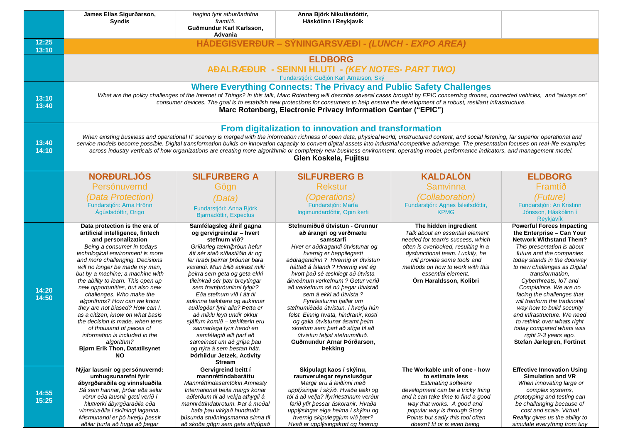|                | James Elías Sigurðarson,<br><b>Syndis</b>                                                                                                                                                                                                                                                                                                                                                                                                                                                                                                                                                                                                                                        | haginn fyrir atburðadrifna<br>framtíð.                                                                                                                                                                                                                                                                                                                                                                                                                                                                                                                                                                                                 | Anna Björk Nikulásdóttir,<br>Háskólinn í Reykjavík                                                                                                                                                                                                                                                                                                                                                                                                                                                                                                                                                                           |                                                                                                                                                                                                                                                                                                |                                                                                                                                                                                                                                                                                                                                                                                                                                                                                                                                                        |
|----------------|----------------------------------------------------------------------------------------------------------------------------------------------------------------------------------------------------------------------------------------------------------------------------------------------------------------------------------------------------------------------------------------------------------------------------------------------------------------------------------------------------------------------------------------------------------------------------------------------------------------------------------------------------------------------------------|----------------------------------------------------------------------------------------------------------------------------------------------------------------------------------------------------------------------------------------------------------------------------------------------------------------------------------------------------------------------------------------------------------------------------------------------------------------------------------------------------------------------------------------------------------------------------------------------------------------------------------------|------------------------------------------------------------------------------------------------------------------------------------------------------------------------------------------------------------------------------------------------------------------------------------------------------------------------------------------------------------------------------------------------------------------------------------------------------------------------------------------------------------------------------------------------------------------------------------------------------------------------------|------------------------------------------------------------------------------------------------------------------------------------------------------------------------------------------------------------------------------------------------------------------------------------------------|--------------------------------------------------------------------------------------------------------------------------------------------------------------------------------------------------------------------------------------------------------------------------------------------------------------------------------------------------------------------------------------------------------------------------------------------------------------------------------------------------------------------------------------------------------|
|                |                                                                                                                                                                                                                                                                                                                                                                                                                                                                                                                                                                                                                                                                                  | Guðmundur Karl Karlsson,<br>Advania                                                                                                                                                                                                                                                                                                                                                                                                                                                                                                                                                                                                    |                                                                                                                                                                                                                                                                                                                                                                                                                                                                                                                                                                                                                              |                                                                                                                                                                                                                                                                                                |                                                                                                                                                                                                                                                                                                                                                                                                                                                                                                                                                        |
| 12:25<br>13:10 |                                                                                                                                                                                                                                                                                                                                                                                                                                                                                                                                                                                                                                                                                  |                                                                                                                                                                                                                                                                                                                                                                                                                                                                                                                                                                                                                                        | HÁDEGISVERÐUR – SÝNINGARSVÆÐI - (LUNCH - EXPO AREA)                                                                                                                                                                                                                                                                                                                                                                                                                                                                                                                                                                          |                                                                                                                                                                                                                                                                                                |                                                                                                                                                                                                                                                                                                                                                                                                                                                                                                                                                        |
|                |                                                                                                                                                                                                                                                                                                                                                                                                                                                                                                                                                                                                                                                                                  |                                                                                                                                                                                                                                                                                                                                                                                                                                                                                                                                                                                                                                        | <b>ELDBORG</b>                                                                                                                                                                                                                                                                                                                                                                                                                                                                                                                                                                                                               |                                                                                                                                                                                                                                                                                                |                                                                                                                                                                                                                                                                                                                                                                                                                                                                                                                                                        |
|                |                                                                                                                                                                                                                                                                                                                                                                                                                                                                                                                                                                                                                                                                                  |                                                                                                                                                                                                                                                                                                                                                                                                                                                                                                                                                                                                                                        | AĐALRÆÐUR - SEINNI HLUTI - (KEY NOTES- PART TWO)                                                                                                                                                                                                                                                                                                                                                                                                                                                                                                                                                                             |                                                                                                                                                                                                                                                                                                |                                                                                                                                                                                                                                                                                                                                                                                                                                                                                                                                                        |
|                |                                                                                                                                                                                                                                                                                                                                                                                                                                                                                                                                                                                                                                                                                  |                                                                                                                                                                                                                                                                                                                                                                                                                                                                                                                                                                                                                                        | Fundarstjóri: Guðjón Karl Arnarson, Ský                                                                                                                                                                                                                                                                                                                                                                                                                                                                                                                                                                                      |                                                                                                                                                                                                                                                                                                |                                                                                                                                                                                                                                                                                                                                                                                                                                                                                                                                                        |
| 13:10<br>13:40 | <b>Where Everything Connects: The Privacy and Public Safety Challenges</b><br>What are the policy challenges of the Internet of Things? In this talk, Marc Rotenberg will describe several cases brought by EPIC concerning drones, connected vehicles, and "always on"<br>consumer devices. The goal is to establish new protections for consumers to help ensure the development of a robust, resiliant infrastructure.<br>Marc Rotenberg, Electronic Privacy Information Center ("EPIC")                                                                                                                                                                                      |                                                                                                                                                                                                                                                                                                                                                                                                                                                                                                                                                                                                                                        |                                                                                                                                                                                                                                                                                                                                                                                                                                                                                                                                                                                                                              |                                                                                                                                                                                                                                                                                                |                                                                                                                                                                                                                                                                                                                                                                                                                                                                                                                                                        |
| 13:40<br>14:10 | From digitalization to innovation and transformation<br>When existing business and operational IT scenery is merged with the information richness of open data, physical world, unstructured content, and social listening, far superior operational and<br>service models become possible. Digital transformation builds on innovation capacity to convert digital assets into industrial competitive advantage. The presentation focuses on real-life examples<br>across industry verticals of how organizations are creating more algorithmic or completely new business environment, operating model, performance indicators, and management model.<br>Glen Koskela, Fujitsu |                                                                                                                                                                                                                                                                                                                                                                                                                                                                                                                                                                                                                                        |                                                                                                                                                                                                                                                                                                                                                                                                                                                                                                                                                                                                                              |                                                                                                                                                                                                                                                                                                |                                                                                                                                                                                                                                                                                                                                                                                                                                                                                                                                                        |
|                | <b>NORĐURLJÓS</b>                                                                                                                                                                                                                                                                                                                                                                                                                                                                                                                                                                                                                                                                | <b>SILFURBERG A</b>                                                                                                                                                                                                                                                                                                                                                                                                                                                                                                                                                                                                                    | <b>SILFURBERG B</b>                                                                                                                                                                                                                                                                                                                                                                                                                                                                                                                                                                                                          | <b>KALDALÓN</b>                                                                                                                                                                                                                                                                                | <b>ELDBORG</b>                                                                                                                                                                                                                                                                                                                                                                                                                                                                                                                                         |
|                | Persónuvernd                                                                                                                                                                                                                                                                                                                                                                                                                                                                                                                                                                                                                                                                     | Gögn                                                                                                                                                                                                                                                                                                                                                                                                                                                                                                                                                                                                                                   | <b>Rekstur</b>                                                                                                                                                                                                                                                                                                                                                                                                                                                                                                                                                                                                               | Samvinna                                                                                                                                                                                                                                                                                       | Framtíð                                                                                                                                                                                                                                                                                                                                                                                                                                                                                                                                                |
|                | (Data Protection)<br>Fundarstjóri: Arna Hrönn<br>Ágústsdóttir, Origo                                                                                                                                                                                                                                                                                                                                                                                                                                                                                                                                                                                                             | (Data)<br>Fundarstjóri: Anna Björk<br>Bjarnadóttir, Expectus                                                                                                                                                                                                                                                                                                                                                                                                                                                                                                                                                                           | <i>(Operations)</i><br>Fundarstjóri: María<br>Ingimundardóttir, Opin kerfi                                                                                                                                                                                                                                                                                                                                                                                                                                                                                                                                                   | <i>(Collaboration)</i><br>Fundarstjóri: Agnes Ísleifsdóttir,<br><b>KPMG</b>                                                                                                                                                                                                                    | (Future)<br>Fundarstjóri: Ari Kristinn<br>Jónsson, Háskólinn í                                                                                                                                                                                                                                                                                                                                                                                                                                                                                         |
| 14:20<br>14:50 | Data protection is the era of<br>artificial intelligence, fintech<br>and personalization<br>Being a consumer in todays<br>techological environment is more<br>and more challenging. Decisions<br>will no longer be made my man,<br>but by a machine; a machine with<br>the ability to learn. This open up<br>new opportunities, but also new<br>challenges. Who make the<br>algorithms? How can we know<br>they are not biased? How can I,<br>as a citizen, know on what basis<br>the decision is made, when tens<br>of thousand of pieces of<br>information is included in the<br>algorithm?<br><b>Bjørn Erik Thon, Datatilsynet</b><br><b>NO</b>                               | Samfélagsleg áhrif gagna<br>og gervigreindar - hvert<br>stefnum við?<br>Gríðarleg tækniþróun hefur<br>átt sér stað síðastliðin ár og<br>fer hraði þeirrar þróunar bara<br>vaxandi. Mun bilið aukast milli<br>beirra sem geta og geta ekki<br>tileinkað sér þær breytingar<br>sem frambróuninni fylgir?<br>Eða stefnum við í átt til<br>aukinna tækifæra og aukinnar<br>auðlegðar fyrir alla? Þetta er<br>að miklu leyti undir okkur<br>sjálfum komið - tækifærin eru<br>sannarlega fyrir hendi en<br>samfélagið allt þarf að<br>sameinast um að grípa þau<br>og nýta á sem bestan hátt.<br>Þórhildur Jetzek, Activity<br><b>Stream</b> | Stefnumiðuð útvistun - Grunnur<br>að árangri og verðmætu<br>samstarfi<br>Hver er aðdragandi útvistunar og<br>hvernig er heppilegasti<br>aðdragandinn ? Hvernig er útvistun<br>háttað á Íslandi ? Hvernig veit ég<br>hvort bað sé æskilegt að útvista<br>ákveðnum verkefnum ? Getur verið<br>að verkefnum sé nú þegar útvistað<br>sem á ekki að útvista ?<br>Fyrirlesturinn fjallar um<br>stefnumiðaða útvistun, í hverju hún<br>felst. Einnig hvata, hindranir, kosti<br>og galla útvistunar ásamt þeim<br>skrefum sem þarf að stíga til að<br>útvistun teljist stefnumiðuð.<br>Guðmundur Arnar Þórðarson,<br><b>Þekking</b> | The hidden ingredient<br>Talk about an essential element<br>needed for team's success, which<br>often is overlooked, resulting in a<br>dysfunctional team. Luckily, he<br>will provide some tools and<br>methods on how to work with this<br>essential element.<br>Örn Haraldsson, Kolibri     | Reykjavík<br><b>Powerful Forces Impacting</b><br>the Enterprise - Can Your<br><b>Network Withstand Them?</b><br>This presentation is about<br>future and the companies<br>today stands in the doorway<br>to new challenges as Digital<br>transformation,<br>Cyberthreats, IoT and<br>Complaince. We are no<br>facing the challenges that<br>will tranform the tradinotial<br>way how to build security<br>and infrastructure. We need<br>to rethink over whats right<br>today compared whats was<br>right 2-3 years ago.<br>Stefan Jarlegren, Fortinet |
| 14:55<br>15:25 | Nýjar lausnir og persónuvernd:<br>umhugsunarefni fyrir<br>ábyrgðaraðila og vinnsluaðila<br>Sá sem hannar, próar eða selur<br>vörur eða lausnir gæti verið í<br>hlutverki ábyrgðaraðila eða<br>vinnsluaðila í skilningi laganna.<br>Mismunandi er þó hverju þessir<br>aðilar þurfa að huga að þegar                                                                                                                                                                                                                                                                                                                                                                               | Gervigreind beitt í<br>mannréttindabaráttu<br>Mannréttindasamtökin Amnesty<br>International beita margs konar<br>aðferðum til að vekja athygli á<br>mannréttindabrotum. Þar á meðal<br>hafa þau virkjað hundruðir<br>þúsunda stuðningsmanna sinna til<br>að skoða gögn sem geta afhjúpað                                                                                                                                                                                                                                                                                                                                               | Skipulagt kaos í skýinu,<br>raunverulegar reynslusögur<br>Margir eru á leiðinni með<br>upplýsingar í skýið. Hvaða tæki og<br>tól á að velja? Ífyrirlestrinum verður<br>farið yfir þessar áskoranir. Hvaða<br>upplýsingar eiga heima í skýinu og<br>hvernig skipuleggjum við þær?<br>Hvað er upplýsingakort og hvernig                                                                                                                                                                                                                                                                                                        | The Workable unit of one - how<br>to estimate less<br><b>Estimating software</b><br>development can be a tricky thing<br>and it can take time to find a good<br>way that works. A good and<br>popular way is through Story<br>Points but sadly this tool often<br>doesn't fit or is even being | <b>Effective Innovation Using</b><br><b>Simulation and VR</b><br>When innovating large or<br>complex systems,<br>prototyping and testing can<br>be challanging because of<br>cost and scale. Virtual<br>Reality gives us the ability to<br>simulate everything from tiny                                                                                                                                                                                                                                                                               |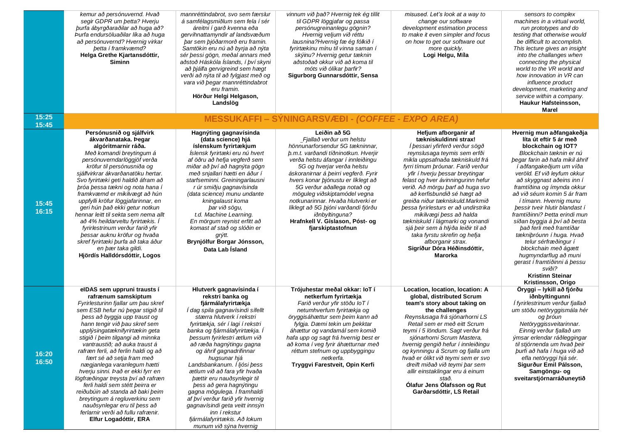|                | kemur að persónuvernd. Hvað<br>segir GDPR um betta? Hverju<br>burfa ábyrgðaraðilar að huga að?<br>Þurfa endursöluaðilar líka að huga<br>að persónuvernd? Hvernig virkar<br>betta í framkvæmd?<br>Helga Grethe Kjartansdóttir,<br><b>Siminn</b>                                                                                                                                                                                                                                                                                                                                                                                                                                              | mannréttindabrot, svo sem færslur<br>á samfélagsmiðlum sem fela í sér<br>áreitni í garð kvenna eða<br>gervihnattamyndir af landsvæðum<br>bar sem bjóðarmorð eru framin.<br>Samtökin eru nú að byrja að nýta<br>sér þessi gögn, meðal annars með<br>aðstoð Háskóla Íslands, í því skyni<br>að þjálfa gervigreind sem hægt<br>verði að nýta til að fylgjast með og<br>vara við begar mannréttindabrot<br>eru framin.<br>Hörður Helgi Helgason,<br>Landslög                                                                                                                                       | vinnum við það? Hvernig tek ég tillit<br>til GDPR löggjafar og passa<br>persónugreinanlegu gögnin?<br>Hvernig veljum við réttu<br>lausnina?Hvernig fæ ég fólkið í<br>fyrirtækinu mínu til vinna saman í<br>skýinu? Hvernig getur tæknin<br>aðstoðað okkur við að koma til<br>móts við ólíkar þarfir?<br>Sigurborg Gunnarsdóttir, Sensa                                                                                                                                                            | misused. Let's look at a way to<br>change our software<br>development estimation process<br>to make it even simpler and focus<br>on how to get our software out<br>more quickly.<br>Logi Helgu, Míla                                                                                                                                                                                                                                                                                                                                                                                                              | sensors to complex<br>machines in a virtual world,<br>run prototypes and do<br>testing that otherwise would<br>be difficult to accomplish.<br>This lecture gives an insight<br>into the challanges when<br>connecting the physical<br>world to the VR world and<br>how innovation in VR can<br><i>influence product</i><br>development, marketing and<br>service within a company.<br>Haukur Hafsteinsson,<br>Marel                                                                                                                                                                                                                               |
|----------------|---------------------------------------------------------------------------------------------------------------------------------------------------------------------------------------------------------------------------------------------------------------------------------------------------------------------------------------------------------------------------------------------------------------------------------------------------------------------------------------------------------------------------------------------------------------------------------------------------------------------------------------------------------------------------------------------|------------------------------------------------------------------------------------------------------------------------------------------------------------------------------------------------------------------------------------------------------------------------------------------------------------------------------------------------------------------------------------------------------------------------------------------------------------------------------------------------------------------------------------------------------------------------------------------------|---------------------------------------------------------------------------------------------------------------------------------------------------------------------------------------------------------------------------------------------------------------------------------------------------------------------------------------------------------------------------------------------------------------------------------------------------------------------------------------------------|-------------------------------------------------------------------------------------------------------------------------------------------------------------------------------------------------------------------------------------------------------------------------------------------------------------------------------------------------------------------------------------------------------------------------------------------------------------------------------------------------------------------------------------------------------------------------------------------------------------------|---------------------------------------------------------------------------------------------------------------------------------------------------------------------------------------------------------------------------------------------------------------------------------------------------------------------------------------------------------------------------------------------------------------------------------------------------------------------------------------------------------------------------------------------------------------------------------------------------------------------------------------------------|
| 15:25<br>15:45 |                                                                                                                                                                                                                                                                                                                                                                                                                                                                                                                                                                                                                                                                                             |                                                                                                                                                                                                                                                                                                                                                                                                                                                                                                                                                                                                | <b>MESSUKAFFI – SYNINGARSVÆÐI - (COFFEE - EXPO AREA)</b>                                                                                                                                                                                                                                                                                                                                                                                                                                          |                                                                                                                                                                                                                                                                                                                                                                                                                                                                                                                                                                                                                   |                                                                                                                                                                                                                                                                                                                                                                                                                                                                                                                                                                                                                                                   |
| 15:45<br>16:15 | Persónusnið og sjálfvirk<br>ákvarðanataka. Þegar<br>algóritmarnir ráða.<br>Með komandi breytingum á<br>persónuverndarlöggjöf verða<br>kröfur til persónusniða og<br>sjálfvirkrar ákvarðanatöku hertar.<br>Svo fyrirtæki geti haldið áfram að<br>bróa bessa tækni og nota hana í<br>framkvæmd er mikilvægt að hún<br>uppfylli kröfur löggjafarinnar, en<br>geri hún það ekki getur notkun<br>hennar leitt til sekta sem nema allt<br>að 4% heildarveltu fyrirtækis. Í<br>fyrirlestrinum verður farið yfir<br>þessar auknu kröfur og hvaða<br>skref fyrirtæki þurfa að taka áður<br>en bær taka gildi.<br>Hjördís Halldórsdóttir, Logos                                                       | Hagnýting gagnavísinda<br>(data science) hjá<br>íslenskum fyrirtækjum<br>Íslensk fyrirtæki eru nú hvert<br>af öðru að hefja vegferð sem<br>miðar að því að hagnýta gögn<br>með snjallari hætti en áður í<br>starfseminni. Greiningarlausni<br>r úr smiðju gagnavísinda<br>(data science) munu undante<br>kningalaust koma<br>þar við sögu,<br>t.d. Machine Learning.<br>En mörgum reynist erfitt að<br>komast af stað og slóðin er<br>grýtt.<br>Brynjólfur Borgar Jónsson,<br>Data Lab İsland                                                                                                  | Leiðin að 5G<br>Fjallað verður um helstu<br>hönnunarforsendur 5G tækninnar,<br>b.m.t. varðandi tíðninotkun. Hverjir<br>verða helstu áfangar í innleiðingu<br>5G og hverjar verða helstu<br>áskoranirnar á þeirri vegferð. Fyrir<br>hvers konar þjónustu er líklegt að<br>5G verður aðallega notað og<br>möguleg viðskiptamódel vegna<br>notkunarinnar. Hvaða hlutverki er<br>líklegt að 5G þjóni varðandi fjórðu<br><i>iðnbyltinguna?</i><br>Hrafnkell V. Gíslason, Póst- og<br>fjarskiptastofnun | Hefjum afborganir af<br>tækniskuldinni strax!<br>Í þessari yfirferð verður sögð<br>reynslusaga teymis sem erfði<br>mikla uppsafnaða tækniskuld frá<br>fyrri tímum þróunar. Farið verður<br>yfir í hverju bessar breytingar<br>felast og hver ávinningurinn hefur<br>verið. Að mörgu þarf að huga svo<br>að kerfisbundið sé hægt að<br>greiða niður tækniskuld.Markmið<br>bessa fyrirlesturs er að undirstrika<br>mikilvægi þess að halda<br>tækniskuld í lágmarki og vonandi<br>sjá þeir sem á hlýða leiðir til að<br>taka fyrstu skrefin og hefja<br>afborganir strax.<br>Sigríður Dóra Héðinsdóttir,<br>Marorka | Hvernig mun aðfangakeðja<br>líta út eftir 5 ár með<br>blockchain og IOT?<br>Blockchain tæknin er nú<br>þegar farin að hafa mikil áhrif<br>í aðfangakeðjum um víða<br>veröld. Ef við leyfum okkur<br>að skyggnast aðeins inn í<br>framtíðina og ímynda okkur<br>að við séum komin 5 ár fram<br>í tímann. Hvernig munu<br>bessir tveir hlutir blandast í<br>framtíðinni? Þetta erindi mun<br>síðan byggja á því að besta<br>það ferli með framtíðar<br>tækniþróunn í huga. Hvað<br>telur sérfræðingur í<br>blockchain með ágætt<br>hugmyndarflug að muni<br>gerast í framtíðinni á þessu<br>sviði?<br><b>Kristinn Steinar</b><br>Kristinsson, Origo |
| 16:20<br>16:50 | elDAS sem uppruni trausts í<br>rafrænum samskiptum<br>Fyrirlesturinn fjallar um bau skref<br>sem ESB hefur nú þegar stigið til<br>bess að byggja upp traust og<br>hann tengir við þau skref sem<br>upplýsingatæknifyrirtækin geta<br>stigið í þeim tilgangi að minnka<br>vantraustið; að auka traust á<br>rafræn ferli, að ferlin haldi og að<br>fært sé að setja fram með<br>nægjanlega varanlegum hætti<br>hverju sinni. Það er ekki fyrr en<br>lögfræðingar treysta því að rafræn<br>ferli haldi sem stétt þeirra er<br>reiðubúin að standa að baki þeim<br>breytingum á regluverkinu sem<br>nauðsynlegar eru til þess að<br>ferlarnir verði að fullu rafrænir.<br>Elfur Logadóttir, ERA | Hlutverk gagnavísinda í<br>rekstri banka og<br>fjármálafyrirtækja<br>İ dag spila gagnavísindi sífellt<br>stærra hlutverk í rekstri<br>fyrirtækja, sér í lagi í rekstri<br>banka og fjármálafyrirtækja. I<br>þessum fyrirlestri ætlum við<br>að ræða hagnýtingu gagna<br>og áhrif gagnadrifinnar<br>hugsunar hjá<br>Landsbankanum. Í ljósi þess<br>ætlum við að fara yfir hvaða<br>þættir eru nauðsynlegir til<br>bess að gera hagnýtingu<br>gagna mögulega. Í framhaldi<br>af því verður farið yfir hvernig<br>gagnavísindi geta veitt innsýn<br>inn í rekstur<br>fjármálafyrirtækis. Að lokum | Trójuhestar meðal okkar: IoT í<br>netkerfum fyrirtækja<br>Farið verður yfir stöðu loT í<br>netumhverfum fyrirtækja og<br>öryggisáhættur sem beim kann að<br>fylgja. Dæmi tekin um þekktar<br>áhættur og vandamál sem komið<br>hafa upp og sagt frá hvernig best er<br>að koma í veg fyrir áhætturnar með<br>réttum stefnum og uppbyggingu<br>netkerfa.<br>Tryggvi Farestveit, Opin Kerfi                                                                                                          | Location, location, location: A<br>global, distributed Scrum<br>team's story about taking on<br>the challenges<br>Reynslusaga frá sjónarhorni LS<br>Retail sem er með eitt Scrum<br>teymi í 5 löndum. Sagt verður frá<br>sjónarhorni Scrum Mastera,<br>hvernig gengið hefur í innleiðingu<br>og kynningu á Scrum og fjalla um<br>hvað er ólíkt við teymi sem er svo<br>dreift miðað við teymi þar sem<br>allir einstaklingar eru á einum<br>stað.<br>Ólafur Jens Ólafsson og Rut<br>Garðarsdóttir, LS Retail                                                                                                      | Öryggi - lykill að fjórðu<br>iðnbyltingunni<br>Í fyrirlestrinum verður fjallað<br>um stöðu netöryggismála hér<br>og þróun<br>Netöryggissveitarinnar.<br>Einnig verður fjallað um<br>ýmsar erlendar ráðleggingar<br>til stjórnenda um hvað beir<br>þurfi að hafa í huga við að<br>efla netöryggi hjá sér.<br>Sigurður Emil Pálsson,<br>Samgöngu- og<br>sveitarstjórnarráðuneytið                                                                                                                                                                                                                                                                   |

*munum við sýna hvernig*